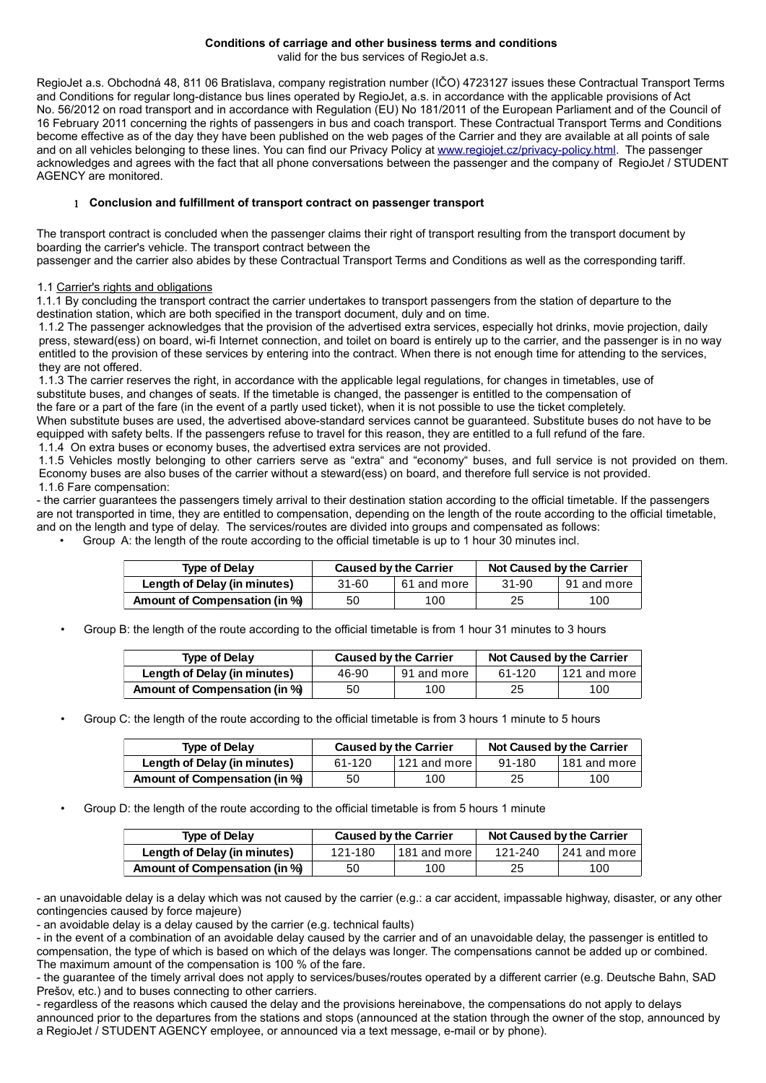# **Conditions of carriage and other business terms and conditions**

valid for the bus services of RegioJet a.s.

RegioJet a.s. Obchodná 48, 811 06 Bratislava, company registration number (IČO) 4723127 issues these Contractual Transport Terms and Conditions for regular long-distance bus lines operated by RegioJet, a.s. in accordance with the applicable provisions of Act No. 56/2012 on road transport and in accordance with Regulation (EU) No 181/2011 of the European Parliament and of the Council of 16 February 2011 concerning the rights of passengers in bus and coach transport. These Contractual Transport Terms and Conditions become effective as of the day they have been published on the web pages of the Carrier and they are available at all points of sale and on all vehicles belonging to these lines. You can find our Privacy Policy at [www.regiojet.cz/privacy-policy.html.](http://www.regiojet.cz/privacy-policy.html) The passenger acknowledges and agrees with the fact that all phone conversations between the passenger and the company of RegioJet / STUDENT AGENCY are monitored.

#### 1 **Conclusion and fulfillment of transport contract on passenger transport**

The transport contract is concluded when the passenger claims their right of transport resulting from the transport document by boarding the carrier's vehicle. The transport contract between the

passenger and the carrier also abides by these Contractual Transport Terms and Conditions as well as the corresponding tariff.

## 1.1 Carrier's rights and obligations

 1.1.1 By concluding the transport contract the carrier undertakes to transport passengers from the station of departure to the destination station, which are both specified in the transport document, duly and on time.

 1.1.2 The passenger acknowledges that the provision of the advertised extra services, especially hot drinks, movie projection, daily press, steward(ess) on board, wi-fi Internet connection, and toilet on board is entirely up to the carrier, and the passenger is in no way entitled to the provision of these services by entering into the contract. When there is not enough time for attending to the services, they are not offered.

 1.1.3 The carrier reserves the right, in accordance with the applicable legal regulations, for changes in timetables, use of substitute buses, and changes of seats. If the timetable is changed, the passenger is entitled to the compensation of the fare or a part of the fare (in the event of a partly used ticket), when it is not possible to use the ticket completely.

When substitute buses are used, the advertised above-standard services cannot be guaranteed. Substitute buses do not have to be equipped with safety belts. If the passengers refuse to travel for this reason, they are entitled to a full refund of the fare.

1.1.4 On extra buses or economy buses, the advertised extra services are not provided.

 1.1.5 Vehicles mostly belonging to other carriers serve as "extra" and "economy" buses, and full service is not provided on them. Economy buses are also buses of the carrier without a steward(ess) on board, and therefore full service is not provided. 1.1.6 Fare compensation:

- the carrier guarantees the passengers timely arrival to their destination station according to the official timetable. If the passengers are not transported in time, they are entitled to compensation, depending on the length of the route according to the official timetable, and on the length and type of delay. The services/routes are divided into groups and compensated as follows:

• Group A: the length of the route according to the official timetable is up to 1 hour 30 minutes incl.

| <b>Type of Delay</b>          | <b>Caused by the Carrier</b> |             | Not Caused by the Carrier |             |
|-------------------------------|------------------------------|-------------|---------------------------|-------------|
| Length of Delay (in minutes)  | 31-60                        | 61 and more | 31-90                     | 91 and more |
| Amount of Compensation (in %) | 50                           | 100         | 25                        | 100         |

• Group B: the length of the route according to the official timetable is from 1 hour 31 minutes to 3 hours

| <b>Type of Delay</b>          | <b>Caused by the Carrier</b> |             | Not Caused by the Carrier |                            |
|-------------------------------|------------------------------|-------------|---------------------------|----------------------------|
| Length of Delay (in minutes)  | 46-90                        | 91 and more | 61-120                    | $\mid$ 121 and more $\mid$ |
| Amount of Compensation (in %) | 50                           | 100         | 25                        | 100                        |

• Group C: the length of the route according to the official timetable is from 3 hours 1 minute to 5 hours

| <b>Type of Delay</b>          | <b>Caused by the Carrier</b> |              | Not Caused by the Carrier |                |
|-------------------------------|------------------------------|--------------|---------------------------|----------------|
| Length of Delay (in minutes)  | 61-120                       | 121 and more | 91-180                    | l 181 and more |
| Amount of Compensation (in %) | 50                           | 100          | 25                        | 100            |

• Group D: the length of the route according to the official timetable is from 5 hours 1 minute

| <b>Type of Delay</b>          | <b>Caused by the Carrier</b> |                            | Not Caused by the Carrier |              |
|-------------------------------|------------------------------|----------------------------|---------------------------|--------------|
| Length of Delay (in minutes)  | 121-180                      | $\mid$ 181 and more $\mid$ | 121-240                   | 241 and more |
| Amount of Compensation (in %) | 50                           | 100                        | 25                        | 100          |

- an unavoidable delay is a delay which was not caused by the carrier (e.g.: a car accident, impassable highway, disaster, or any other contingencies caused by force majeure)

- an avoidable delay is a delay caused by the carrier (e.g. technical faults)

- in the event of a combination of an avoidable delay caused by the carrier and of an unavoidable delay, the passenger is entitled to compensation, the type of which is based on which of the delays was longer. The compensations cannot be added up or combined. The maximum amount of the compensation is 100 % of the fare.

- the guarantee of the timely arrival does not apply to services/buses/routes operated by a different carrier (e.g. Deutsche Bahn, SAD Prešov, etc.) and to buses connecting to other carriers.

- regardless of the reasons which caused the delay and the provisions hereinabove, the compensations do not apply to delays announced prior to the departures from the stations and stops (announced at the station through the owner of the stop, announced by a RegioJet / STUDENT AGENCY employee, or announced via a text message, e-mail or by phone).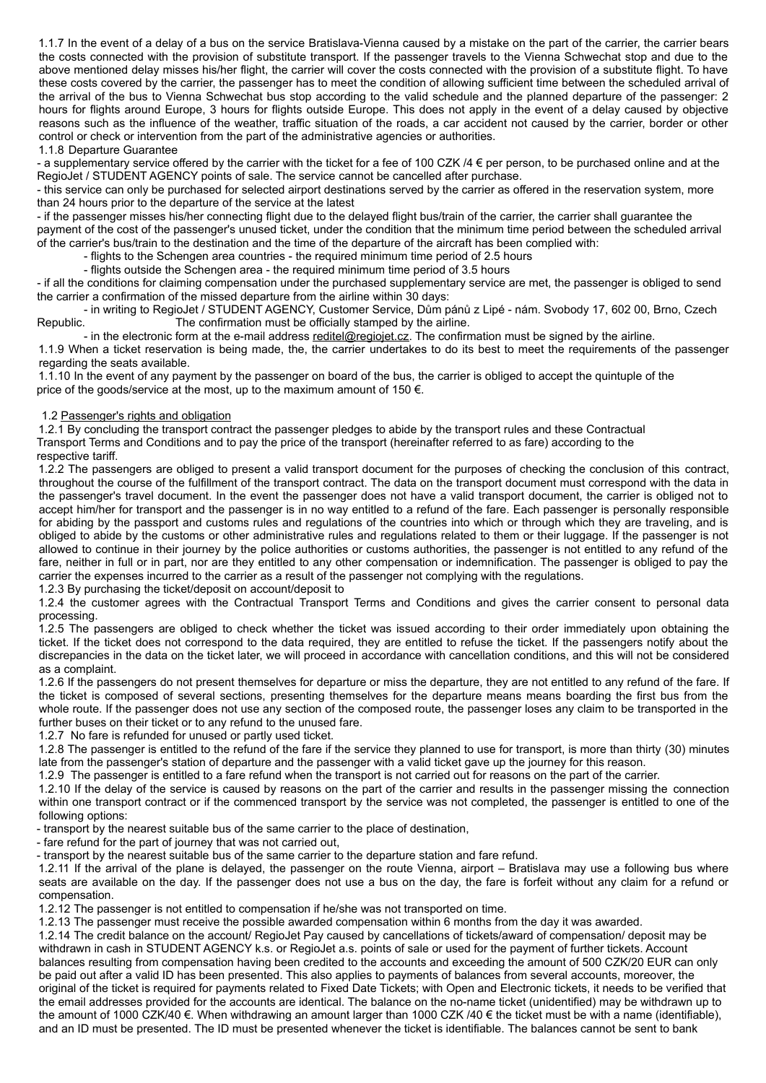1.1.7 In the event of a delay of a bus on the service Bratislava-Vienna caused by a mistake on the part of the carrier, the carrier bears the costs connected with the provision of substitute transport. If the passenger travels to the Vienna Schwechat stop and due to the above mentioned delay misses his/her flight, the carrier will cover the costs connected with the provision of a substitute flight. To have these costs covered by the carrier, the passenger has to meet the condition of allowing sufficient time between the scheduled arrival of the arrival of the bus to Vienna Schwechat bus stop according to the valid schedule and the planned departure of the passenger: 2 hours for flights around Europe, 3 hours for flights outside Europe. This does not apply in the event of a delay caused by objective reasons such as the influence of the weather, traffic situation of the roads, a car accident not caused by the carrier, border or other control or check or intervention from the part of the administrative agencies or authorities.

#### 1.1.8 Departure Guarantee

- a supplementary service offered by the carrier with the ticket for a fee of 100 CZK  $/4 \epsilon$  per person, to be purchased online and at the RegioJet / STUDENT AGENCY points of sale. The service cannot be cancelled after purchase.

- this service can only be purchased for selected airport destinations served by the carrier as offered in the reservation system, more than 24 hours prior to the departure of the service at the latest

- if the passenger misses his/her connecting flight due to the delayed flight bus/train of the carrier, the carrier shall guarantee the payment of the cost of the passenger's unused ticket, under the condition that the minimum time period between the scheduled arrival of the carrier's bus/train to the destination and the time of the departure of the aircraft has been complied with:

- flights to the Schengen area countries - the required minimum time period of 2.5 hours

- flights outside the Schengen area - the required minimum time period of 3.5 hours

- if all the conditions for claiming compensation under the purchased supplementary service are met, the passenger is obliged to send the carrier a confirmation of the missed departure from the airline within 30 days:

- in writing to RegioJet / STUDENT AGENCY, Customer Service, Dům pánů z Lipé - nám. Svobody 17, 602 00, Brno, Czech Republic. The confirmation must be officially stamped by the airline.

- in the electronic form at the e-mail address [reditel@regiojet.cz](mailto:reditel@regiojet.cz). The confirmation must be signed by the airline. 1.1.9 When a ticket reservation is being made, the, the carrier undertakes to do its best to meet the requirements of the passenger

regarding the seats available.

 1.1.10 In the event of any payment by the passenger on board of the bus, the carrier is obliged to accept the quintuple of the price of the goods/service at the most, up to the maximum amount of 150  $\epsilon$ .

#### 1.2 Passenger's rights and obligation

 1.2.1 By concluding the transport contract the passenger pledges to abide by the transport rules and these Contractual Transport Terms and Conditions and to pay the price of the transport (hereinafter referred to as fare) according to the respective tariff.

 1.2.2 The passengers are obliged to present a valid transport document for the purposes of checking the conclusion of this contract, throughout the course of the fulfillment of the transport contract. The data on the transport document must correspond with the data in the passenger's travel document. In the event the passenger does not have a valid transport document, the carrier is obliged not to accept him/her for transport and the passenger is in no way entitled to a refund of the fare. Each passenger is personally responsible for abiding by the passport and customs rules and regulations of the countries into which or through which they are traveling, and is obliged to abide by the customs or other administrative rules and regulations related to them or their luggage. If the passenger is not allowed to continue in their journey by the police authorities or customs authorities, the passenger is not entitled to any refund of the fare, neither in full or in part, nor are they entitled to any other compensation or indemnification. The passenger is obliged to pay the carrier the expenses incurred to the carrier as a result of the passenger not complying with the regulations.

1.2.3 By purchasing the ticket/deposit on account/deposit to

 1.2.4 the customer agrees with the Contractual Transport Terms and Conditions and gives the carrier consent to personal data processing.

1.2.5 The passengers are obliged to check whether the ticket was issued according to their order immediately upon obtaining the ticket. If the ticket does not correspond to the data required, they are entitled to refuse the ticket. If the passengers notify about the discrepancies in the data on the ticket later, we will proceed in accordance with cancellation conditions, and this will not be considered as a complaint.

 1.2.6 If the passengers do not present themselves for departure or miss the departure, they are not entitled to any refund of the fare. If the ticket is composed of several sections, presenting themselves for the departure means means boarding the first bus from the whole route. If the passenger does not use any section of the composed route, the passenger loses any claim to be transported in the further buses on their ticket or to any refund to the unused fare.

1.2.7 No fare is refunded for unused or partly used ticket.

 1.2.8 The passenger is entitled to the refund of the fare if the service they planned to use for transport, is more than thirty (30) minutes late from the passenger's station of departure and the passenger with a valid ticket gave up the journey for this reason.

1.2.9 The passenger is entitled to a fare refund when the transport is not carried out for reasons on the part of the carrier.

 1.2.10 If the delay of the service is caused by reasons on the part of the carrier and results in the passenger missing the connection within one transport contract or if the commenced transport by the service was not completed, the passenger is entitled to one of the following options:

- transport by the nearest suitable bus of the same carrier to the place of destination,

- fare refund for the part of journey that was not carried out,

- transport by the nearest suitable bus of the same carrier to the departure station and fare refund.

 1.2.11 If the arrival of the plane is delayed, the passenger on the route Vienna, airport – Bratislava may use a following bus where seats are available on the day. If the passenger does not use a bus on the day, the fare is forfeit without any claim for a refund or compensation.

1.2.12 The passenger is not entitled to compensation if he/she was not transported on time.

 1.2.13 The passenger must receive the possible awarded compensation within 6 months from the day it was awarded. 1.2.14 The credit balance on the account/ RegioJet Pay caused by cancellations of tickets/award of compensation/ deposit may be withdrawn in cash in STUDENT AGENCY k.s. or RegioJet a.s. points of sale or used for the payment of further tickets. Account balances resulting from compensation having been credited to the accounts and exceeding the amount of 500 CZK/20 EUR can only be paid out after a valid ID has been presented. This also applies to payments of balances from several accounts, moreover, the original of the ticket is required for payments related to Fixed Date Tickets; with Open and Electronic tickets, it needs to be verified that the email addresses provided for the accounts are identical. The balance on the no-name ticket (unidentified) may be withdrawn up to the amount of 1000 CZK/40 €. When withdrawing an amount larger than 1000 CZK /40 € the ticket must be with a name (identifiable), and an ID must be presented. The ID must be presented whenever the ticket is identifiable. The balances cannot be sent to bank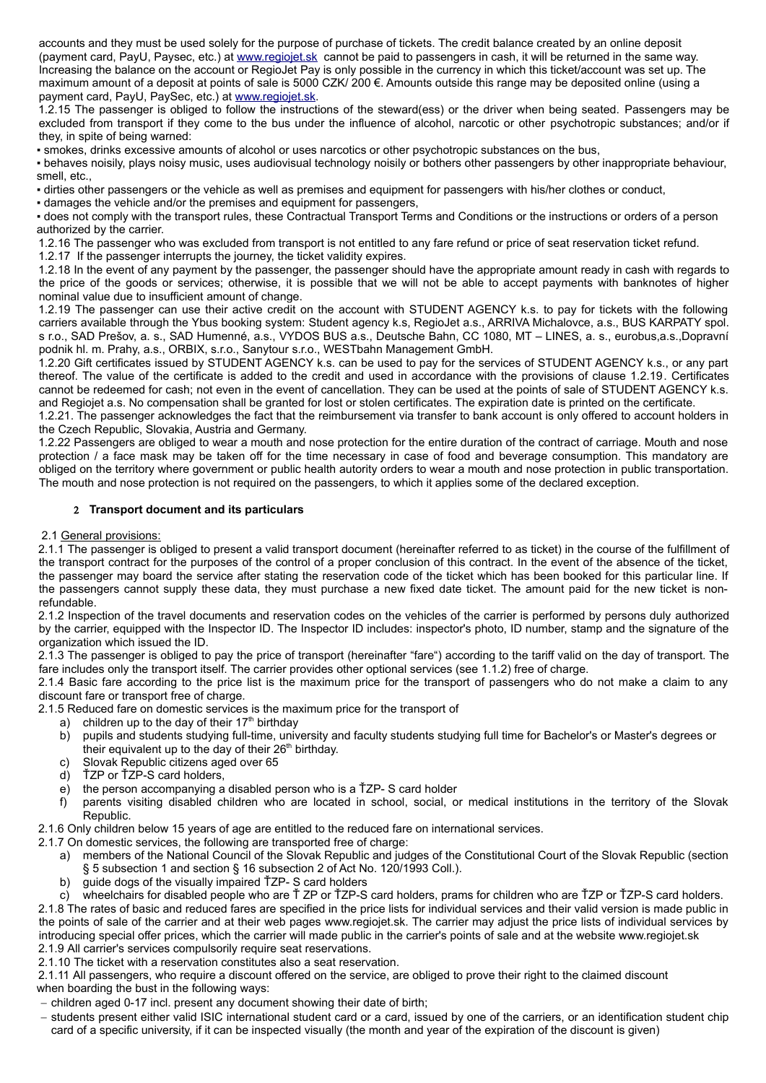accounts and they must be used solely for the purpose of purchase of tickets. The credit balance created by an online deposit (payment card, PayU, Paysec, etc.) at www.regiojet.sk cannot be paid to passengers in cash, it will be returned in the same way. Increasing the balance on the account or RegioJet Pay is only possible in the currency in which this ticket/account was set up. The maximum amount of a deposit at points of sale is 5000 CZK/ 200 €. Amounts outside this range may be deposited online (using a payment card, PayU, PaySec, etc.) at www.regiojet.sk.

 1.2.15 The passenger is obliged to follow the instructions of the steward(ess) or the driver when being seated. Passengers may be excluded from transport if they come to the bus under the influence of alcohol, narcotic or other psychotropic substances; and/or if they, in spite of being warned:

▪ smokes, drinks excessive amounts of alcohol or uses narcotics or other psychotropic substances on the bus,

▪ behaves noisily, plays noisy music, uses audiovisual technology noisily or bothers other passengers by other inappropriate behaviour, smell, etc.,

▪ dirties other passengers or the vehicle as well as premises and equipment for passengers with his/her clothes or conduct,

▪ damages the vehicle and/or the premises and equipment for passengers,

▪ does not comply with the transport rules, these Contractual Transport Terms and Conditions or the instructions or orders of a person authorized by the carrier.

1.2.16 The passenger who was excluded from transport is not entitled to any fare refund or price of seat reservation ticket refund.

1.2.17 If the passenger interrupts the journey, the ticket validity expires.

 1.2.18 In the event of any payment by the passenger, the passenger should have the appropriate amount ready in cash with regards to the price of the goods or services; otherwise, it is possible that we will not be able to accept payments with banknotes of higher nominal value due to insufficient amount of change.

 1.2.19 The passenger can use their active credit on the account with STUDENT AGENCY k.s. to pay for tickets with the following carriers available through the Ybus booking system: Student agency k.s, RegioJet a.s., ARRIVA Michalovce, a.s., BUS KARPATY spol. s r.o., SAD Prešov, a. s., SAD Humenné, a.s., VYDOS BUS a.s., Deutsche Bahn, CC 1080, MT – LINES, a. s., eurobus,a.s.,Dopravní podnik hl. m. Prahy, a.s., ORBIX, s.r.o., Sanytour s.r.o., WESTbahn Management GmbH.

 1.2.20 Gift certificates issued by STUDENT AGENCY k.s. can be used to pay for the services of STUDENT AGENCY k.s., or any part thereof. The value of the certificate is added to the credit and used in accordance with the provisions of clause 1.2.19. Certificates cannot be redeemed for cash; not even in the event of cancellation. They can be used at the points of sale of STUDENT AGENCY k.s. and Regiojet a.s. No compensation shall be granted for lost or stolen certificates. The expiration date is printed on the certificate.

 1.2.21. The passenger acknowledges the fact that the reimbursement via transfer to bank account is only offered to account holders in the Czech Republic, Slovakia, Austria and Germany.

 1.2.22 Passengers are obliged to wear a mouth and nose protection for the entire duration of the contract of carriage. Mouth and nose protection / a face mask may be taken off for the time necessary in case of food and beverage consumption. This mandatory are obliged on the territory where government or public health autority orders to wear a mouth and nose protection in public transportation. The mouth and nose protection is not required on the passengers, to which it applies some of the declared exception.

## 2 **Transport document and its particulars**

2.1 General provisions:

 2.1.1 The passenger is obliged to present a valid transport document (hereinafter referred to as ticket) in the course of the fulfillment of the transport contract for the purposes of the control of a proper conclusion of this contract. In the event of the absence of the ticket, the passenger may board the service after stating the reservation code of the ticket which has been booked for this particular line. If the passengers cannot supply these data, they must purchase a new fixed date ticket. The amount paid for the new ticket is nonrefundable.

 2.1.2 Inspection of the travel documents and reservation codes on the vehicles of the carrier is performed by persons duly authorized by the carrier, equipped with the Inspector ID. The Inspector ID includes: inspector's photo, ID number, stamp and the signature of the organization which issued the ID.

 2.1.3 The passenger is obliged to pay the price of transport (hereinafter "fare") according to the tariff valid on the day of transport. The fare includes only the transport itself. The carrier provides other optional services (see 1.1.2) free of charge.

 2.1.4 Basic fare according to the price list is the maximum price for the transport of passengers who do not make a claim to any discount fare or transport free of charge.

2.1.5 Reduced fare on domestic services is the maximum price for the transport of

- a) children up to the day of their  $17<sup>th</sup>$  birthday
- b) pupils and students studying full-time, university and faculty students studying full time for Bachelor's or Master's degrees or their equivalent up to the day of their 26<sup>th</sup> birthday.
- c) Slovak Republic citizens aged over 65
- d) ŤZP or ŤZP-S card holders,
- e) the person accompanying a disabled person who is a ŤZP- S card holder
- f) parents visiting disabled children who are located in school, social, or medical institutions in the territory of the Slovak Republic.

2.1.6 Only children below 15 years of age are entitled to the reduced fare on international services.

2.1.7 On domestic services, the following are transported free of charge:

- a) members of the National Council of the Slovak Republic and judges of the Constitutional Court of the Slovak Republic (section § 5 subsection 1 and section § 16 subsection 2 of Act No. 120/1993 Coll.).
- b) guide dogs of the visually impaired ŤZP- S card holders
- c) wheelchairs for disabled people who are Ť ZP or ŤZP-S card holders, prams for children who are ŤZP or ŤZP-S card holders.

 2.1.8 The rates of basic and reduced fares are specified in the price lists for individual services and their valid version is made public in the points of sale of the carrier and at their web pages www.regiojet.sk. The carrier may adjust the price lists of individual services by introducing special offer prices, which the carrier will made public in the carrier's points of sale and at the website www.regiojet.sk 2.1.9 All carrier's services compulsorily require seat reservations.

2.1.10 The ticket with a reservation constitutes also a seat reservation.

 2.1.11 All passengers, who require a discount offered on the service, are obliged to prove their right to the claimed discount when boarding the bust in the following ways:

- children aged 0-17 incl. present any document showing their date of birth;

- students present either valid ISIC international student card or a card, issued by one of the carriers, or an identification student chip card of a specific university, if it can be inspected visually (the month and year of the expiration of the discount is given)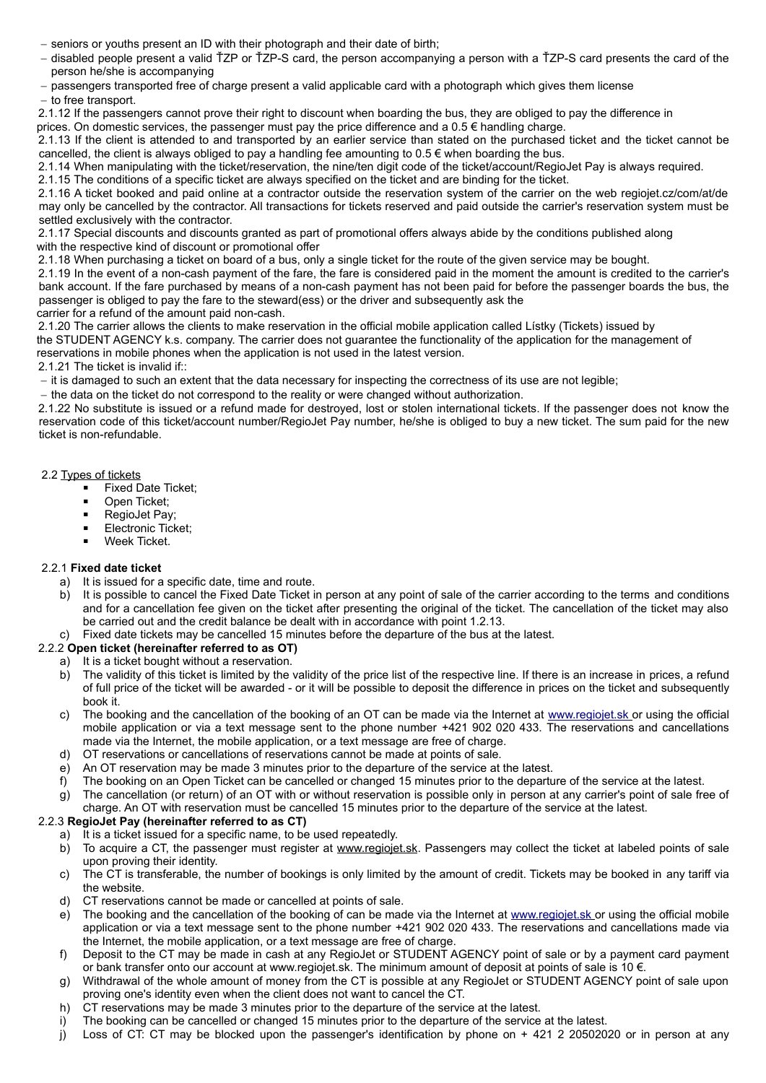- seniors or youths present an ID with their photograph and their date of birth;
- disabled people present a valid ŤZP or ŤZP-S card, the person accompanying a person with a ŤZP-S card presents the card of the person he/she is accompanying
- passengers transported free of charge present a valid applicable card with a photograph which gives them license
- to free transport.

 2.1.12 If the passengers cannot prove their right to discount when boarding the bus, they are obliged to pay the difference in prices. On domestic services, the passenger must pay the price difference and a 0.5 € handling charge.

 2.1.13 If the client is attended to and transported by an earlier service than stated on the purchased ticket and the ticket cannot be cancelled, the client is always obliged to pay a handling fee amounting to  $0.5 \in \mathbb{W}$  when boarding the bus.

2.1.14 When manipulating with the ticket/reservation, the nine/ten digit code of the ticket/account/RegioJet Pay is always required.

2.1.15 The conditions of a specific ticket are always specified on the ticket and are binding for the ticket.

 2.1.16 A ticket booked and paid online at a contractor outside the reservation system of the carrier on the web regiojet.cz/com/at/de may only be cancelled by the contractor. All transactions for tickets reserved and paid outside the carrier's reservation system must be settled exclusively with the contractor.

 2.1.17 Special discounts and discounts granted as part of promotional offers always abide by the conditions published along with the respective kind of discount or promotional offer

2.1.18 When purchasing a ticket on board of a bus, only a single ticket for the route of the given service may be bought.

 2.1.19 In the event of a non-cash payment of the fare, the fare is considered paid in the moment the amount is credited to the carrier's bank account. If the fare purchased by means of a non-cash payment has not been paid for before the passenger boards the bus, the passenger is obliged to pay the fare to the steward(ess) or the driver and subsequently ask the

carrier for a refund of the amount paid non-cash.

2.1.20 The carrier allows the clients to make reservation in the official mobile application called Lístky (Tickets) issued by

the STUDENT AGENCY k.s. company. The carrier does not guarantee the functionality of the application for the management of reservations in mobile phones when the application is not used in the latest version.

2.1.21 The ticket is invalid if::

- it is damaged to such an extent that the data necessary for inspecting the correctness of its use are not legible;

- the data on the ticket do not correspond to the reality or were changed without authorization.

 2.1.22 No substitute is issued or a refund made for destroyed, lost or stolen international tickets. If the passenger does not know the reservation code of this ticket/account number/RegioJet Pay number, he/she is obliged to buy a new ticket. The sum paid for the new ticket is non-refundable.

## 2.2 Types of tickets

- Fixed Date Ticket:
- Open Ticket;
- RegioJet Pay;
- **Electronic Ticket;**
- Week Ticket.

## 2.2.1 **Fixed date ticket**

- a) It is issued for a specific date, time and route.
- b) It is possible to cancel the Fixed Date Ticket in person at any point of sale of the carrier according to the terms and conditions and for a cancellation fee given on the ticket after presenting the original of the ticket. The cancellation of the ticket may also be carried out and the credit balance be dealt with in accordance with point 1.2.13.
- Fixed date tickets may be cancelled 15 minutes before the departure of the bus at the latest.

## 2.2.2 **Open ticket (hereinafter referred to as OT)**

- a) It is a ticket bought without a reservation.
- b) The validity of this ticket is limited by the validity of the price list of the respective line. If there is an increase in prices, a refund of full price of the ticket will be awarded - or it will be possible to deposit the difference in prices on the ticket and subsequently book it.
- c) The booking and the cancellation of the booking of an OT can be made via the Internet at [www.regiojet.sk](http://www.regiojet.sk/) or using the official mobile application or via a text message sent to the phone number +421 902 020 433. The reservations and cancellations made via the Internet, the mobile application, or a text message are free of charge.
- d) OT reservations or cancellations of reservations cannot be made at points of sale.
- e) An OT reservation may be made 3 minutes prior to the departure of the service at the latest.
- f) The booking on an Open Ticket can be cancelled or changed 15 minutes prior to the departure of the service at the latest.
- g) The cancellation (or return) of an OT with or without reservation is possible only in person at any carrier's point of sale free of charge. An OT with reservation must be cancelled 15 minutes prior to the departure of the service at the latest.

## 2.2.3 **RegioJet Pay (hereinafter referred to as CT)**

- a) It is a ticket issued for a specific name, to be used repeatedly.
- b) To acquire a CT, the passenger must register at [www.regiojet.sk.](http://www.regiojet.sk/) Passengers may collect the ticket at labeled points of sale upon proving their identity.
- c) The CT is transferable, the number of bookings is only limited by the amount of credit. Tickets may be booked in any tariff via the website.
- d) CT reservations cannot be made or cancelled at points of sale.
- e) The booking and the cancellation of the booking of can be made via the Internet at [www.regiojet.sk](http://www.regiojet.sk/) or using the official mobile application or via a text message sent to the phone number +421 902 020 433. The reservations and cancellations made via the Internet, the mobile application, or a text message are free of charge.
- f) Deposit to the CT may be made in cash at any RegioJet or STUDENT AGENCY point of sale or by a payment card payment or bank transfer onto our account at www.regiojet.sk. The minimum amount of deposit at points of sale is 10 €.
- g) Withdrawal of the whole amount of money from the CT is possible at any RegioJet or STUDENT AGENCY point of sale upon proving one's identity even when the client does not want to cancel the CT.
- h) CT reservations may be made 3 minutes prior to the departure of the service at the latest.
- i) The booking can be cancelled or changed 15 minutes prior to the departure of the service at the latest.
- j) Loss of CT: CT may be blocked upon the passenger's identification by phone on + 421 2 20502020 or in person at any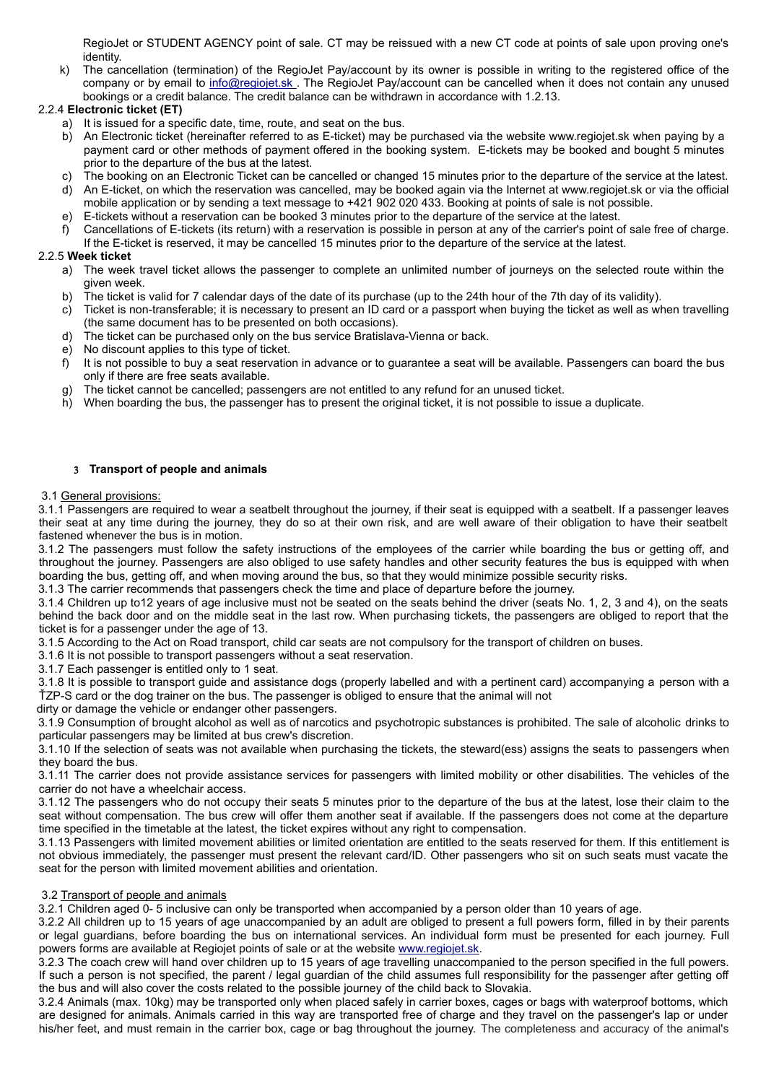RegioJet or STUDENT AGENCY point of sale. CT may be reissued with a new CT code at points of sale upon proving one's identity.

k) The cancellation (termination) of the RegioJet Pay/account by its owner is possible in writing to the registered office of the company or by email to info@regiojet.sk. The RegioJet Pay/account can be cancelled when it does not contain any unused bookings or a credit balance. The credit balance can be withdrawn in accordance with 1.2.13.

# 2.2.4 **Electronic ticket (ET)**

- a) It is issued for a specific date, time, route, and seat on the bus.
	- b) An Electronic ticket (hereinafter referred to as E-ticket) may be purchased via the website www.regiojet.sk when paying by a payment card or other methods of payment offered in the booking system. E-tickets may be booked and bought 5 minutes prior to the departure of the bus at the latest.
	- c) The booking on an Electronic Ticket can be cancelled or changed 15 minutes prior to the departure of the service at the latest.
	- d) An E-ticket, on which the reservation was cancelled, may be booked again via the Internet at www.regiojet.sk or via the official mobile application or by sending a text message to +421 902 020 433. Booking at points of sale is not possible.
	- e) E-tickets without a reservation can be booked 3 minutes prior to the departure of the service at the latest.
	- f) Cancellations of E-tickets (its return) with a reservation is possible in person at any of the carrier's point of sale free of charge. If the E-ticket is reserved, it may be cancelled 15 minutes prior to the departure of the service at the latest.

## 2.2.5 **Week ticket**

- a) The week travel ticket allows the passenger to complete an unlimited number of journeys on the selected route within the given week.
- b) The ticket is valid for 7 calendar days of the date of its purchase (up to the 24th hour of the 7th day of its validity).
- c) Ticket is non-transferable; it is necessary to present an ID card or a passport when buying the ticket as well as when travelling (the same document has to be presented on both occasions).
- d) The ticket can be purchased only on the bus service Bratislava-Vienna or back.
- e) No discount applies to this type of ticket.<br>f) It is not possible to buy a seat reservation
- It is not possible to buy a seat reservation in advance or to guarantee a seat will be available. Passengers can board the bus only if there are free seats available.
- g) The ticket cannot be cancelled; passengers are not entitled to any refund for an unused ticket.
- h) When boarding the bus, the passenger has to present the original ticket, it is not possible to issue a duplicate.

## 3 **Transport of people and animals**

#### 3.1 General provisions:

 3.1.1 Passengers are required to wear a seatbelt throughout the journey, if their seat is equipped with a seatbelt. If a passenger leaves their seat at any time during the journey, they do so at their own risk, and are well aware of their obligation to have their seatbelt fastened whenever the bus is in motion.

 3.1.2 The passengers must follow the safety instructions of the employees of the carrier while boarding the bus or getting off, and throughout the journey. Passengers are also obliged to use safety handles and other security features the bus is equipped with when boarding the bus, getting off, and when moving around the bus, so that they would minimize possible security risks.

3.1.3 The carrier recommends that passengers check the time and place of departure before the journey.

 3.1.4 Children up to12 years of age inclusive must not be seated on the seats behind the driver (seats No. 1, 2, 3 and 4), on the seats behind the back door and on the middle seat in the last row. When purchasing tickets, the passengers are obliged to report that the ticket is for a passenger under the age of 13.

3.1.5 According to the Act on Road transport, child car seats are not compulsory for the transport of children on buses.

3.1.6 It is not possible to transport passengers without a seat reservation.

3.1.7 Each passenger is entitled only to 1 seat.

 3.1.8 It is possible to transport guide and assistance dogs (properly labelled and with a pertinent card) accompanying a person with a ŤZP-S card or the dog trainer on the bus. The passenger is obliged to ensure that the animal will not

dirty or damage the vehicle or endanger other passengers.

 3.1.9 Consumption of brought alcohol as well as of narcotics and psychotropic substances is prohibited. The sale of alcoholic drinks to particular passengers may be limited at bus crew's discretion.

 3.1.10 If the selection of seats was not available when purchasing the tickets, the steward(ess) assigns the seats to passengers when they board the bus.

 3.1.11 The carrier does not provide assistance services for passengers with limited mobility or other disabilities. The vehicles of the carrier do not have a wheelchair access.

 3.1.12 The passengers who do not occupy their seats 5 minutes prior to the departure of the bus at the latest, lose their claim to the seat without compensation. The bus crew will offer them another seat if available. If the passengers does not come at the departure time specified in the timetable at the latest, the ticket expires without any right to compensation.

 3.1.13 Passengers with limited movement abilities or limited orientation are entitled to the seats reserved for them. If this entitlement is not obvious immediately, the passenger must present the relevant card/ID. Other passengers who sit on such seats must vacate the seat for the person with limited movement abilities and orientation.

## 3.2 Transport of people and animals

3.2.1 Children aged 0- 5 inclusive can only be transported when accompanied by a person older than 10 years of age.

 3.2.2 All children up to 15 years of age unaccompanied by an adult are obliged to present a full powers form, filled in by their parents or legal guardians, before boarding the bus on international services. An individual form must be presented for each journey. Full powers forms are available at Regiojet points of sale or at the website [www.regiojet.sk](http://www.regiojet.sk/).

 3.2.3 The coach crew will hand over children up to 15 years of age travelling unaccompanied to the person specified in the full powers. If such a person is not specified, the parent / legal guardian of the child assumes full responsibility for the passenger after getting off the bus and will also cover the costs related to the possible journey of the child back to Slovakia.

 3.2.4 Animals (max. 10kg) may be transported only when placed safely in carrier boxes, cages or bags with waterproof bottoms, which are designed for animals. Animals carried in this way are transported free of charge and they travel on the passenger's lap or under his/her feet, and must remain in the carrier box, cage or bag throughout the journey. The completeness and accuracy of the animal's